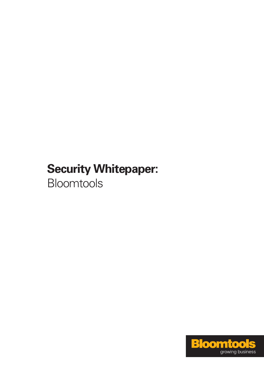# **Security Whitepaper:**  Bloomtools

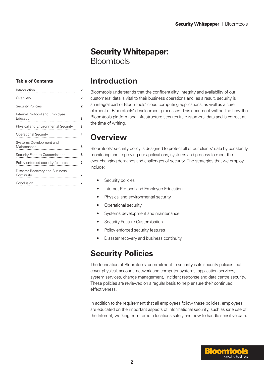# **Security Whitepaper:**  Bloomtools

#### **Table of Contents**

|                                             | 2              |  |
|---------------------------------------------|----------------|--|
|                                             | 2              |  |
|                                             | 2              |  |
| Internal Protocol and Employee<br>Education | 3              |  |
| Physical and Environmental Security         | 3              |  |
|                                             | 4              |  |
| Systems Development and<br>Maintenance      | 5              |  |
| Security Feature Customisation              | 6              |  |
| Policy enforced security features           | $\overline{7}$ |  |
| Disaster Recovery and Business              |                |  |
|                                             |                |  |
|                                             |                |  |

### **Introduction**

Bloomtools understands that the confidentiality, integrity and availability of our customers' data is vital to their business operations and, as a result, security is an integral part of Bloomtools' cloud computing applications, as well as a core element of Bloomtools' development processes. This document will outline how the Bloomtools platform and infrastructure secures its customers' data and is correct at the time of writing.

# **Overview**

Bloomtools' security policy is designed to protect all of our clients' data by constantly monitoring and improving our applications, systems and process to meet the ever-changing demands and challenges of security. The strategies that we employ include:

- Security policies
- Internet Protocol and Employee Education
- Physical and environmental security
- • Operational security
- • Systems development and maintenance
- Security Feature Customisation
- Policy enforced security features
- Disaster recovery and business continuity

# **Security Policies**

The foundation of Bloomtools' commitment to security is its security policies that cover physical, account, network and computer systems, application services, system services, change management, incident response and data centre security. These policies are reviewed on a regular basis to help ensure their continued effectiveness.

In addition to the requirement that all employees follow these policies, employees are educated on the important aspects of informational security, such as safe use of the Internet, working from remote locations safely and how to handle sensitive data.

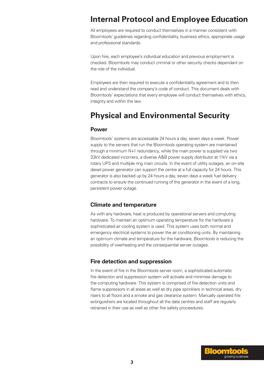# **Internal Protocol and Employee Education**

All employees are required to conduct themselves in a manner consistent with Bloomtools' guidelines regarding confidentiality, business ethics, appropriate usage and professional standards.

Upon hire, each employee's individual education and previous employment is checked. Bloomtools may conduct criminal or other security checks dependant on the role of the individual.

Employees are then required to execute a confidentiality agreement and to then read and understand the company's code of conduct. This document deals with Bloomtools' expectations that every employee will conduct themselves with ethics, integrity and within the law.

# **Physical and Environmental Security**

#### **Power**

Bloomtools' systems are accessable 24 hours a day, seven days a week. Power supply to the servers that run the Bloomtools operating system are maintained through a minimum N+1 redundancy, while the main power is supplied via two 33kV dedicated incomers, a diverse A&B power supply distributor at 11kV via a rotary UPS and multiple ring main circuits. In the event of utility outages, an on-site diesel power generator can support the centre at a full capacity for 24 hours. This generator is also backed up by 24 hours a day, seven days a week fuel delivery contracts to ensure the continued running of the generator in the event of a long, persistent power outage.

#### **Climate and temperature**

As with any hardware, heat is produced by operational servers and computing hardware. To maintain an optimum operating temperature for the hardware a sophisticated air cooling system is used. This system uses both normal and emergency electrical systems to power the air conditioning units. By maintaining an optimum climate and temperature for the hardware, Bloomtools is reducing the possibility of overheating and the consequential server outages.

#### **Fire detection and suppression**

In the event of fire in the Bloomtools server room, a sophisticated automatic fire detection and suppression system will activate and minimise damage to the computing hardware. This system is comprised of fire detection units and flame suppressors in all areas as well as dry pipe sprinklers in technical areas, dry risers to all floors and a smoke and gas clearance system. Manually operated fire extinguishers are located throughout all the data centres and staff are regularly retrained in their use as well as other fire safety proceedures.

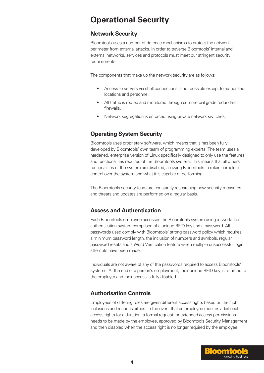# **Operational Security**

#### **Network Security**

Bloomtools uses a number of defence mechanisms to protect the network perimeter from external attacks. In order to traverse Bloomtools' internal and external networks, services and protocols must meet our stringent security requirements.

The components that make up the network security are as follows:

- Access to servers via shell connections is not possible except to authorised locations and personnel.
- All traffic is routed and monitored through commercial grade redundant firewalls.
- Network segregation is enforced using private network switches.

### **Operating System Security**

Bloomtools uses proprietary software, which means that is has been fully developed by Bloomtools' own team of programming experts. The team uses a hardened, enterprise version of Linux specifically designed to only use the features and functionalities required of the Bloomtools system. This means that all others funtionalities of the system are disabled, allowing Bloomtools to retain complete control over the system and what it is capable of performing.

The Bloomtools security team are constantly researching new security measures and threats and updates are performed on a regular basis.

### **Access and Authentication**

Each Bloomtools employee accesses the Bloomtools system using a two-factor authentication system comprised of a unique RFID key and a password. All passwords used comply with Bloomtools' strong password policy which requires a minimum password length, the inclusion of numbers and symbols, regular password resets and a Word Verification feature when multiple unsuccessful login attempts have been made.

Individuals are not aware of any of the passwords required to access Bloomtools' systems. At the end of a person's employment, their unique RFID key is returned to the employer and their access is fully disabled.

### **Authorisation Controls**

Employees of differing roles are given different access rights based on their job inclusions and responsibilities. In the event that an employee requires additional access rights for a duration, a formal request for extended access permissions needs to be made by the employee, approved by Bloomtools Security Management and then disabled when the access right is no longer required by the employee.

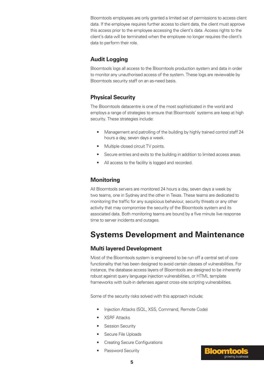Bloomtools employees are only granted a limited set of permissions to access client data. If the employee requires further access to client data, the client must approve this access prior to the employee accessing the client's data. Access rights to the client's data will be terminated when the employee no longer requires the client's data to perform their role.

### **Audit Logging**

Bloomtools logs all access to the Bloomtools production system and data in order to monitor any unauthorised access of the system. These logs are reviewable by Bloomtools security staff on an as-need basis.

### **Physical Security**

The Bloomtools datacentre is one of the most sophisticated in the world and employs a range of strategies to ensure that Bloomtools' systems are keep at high security. These strategies include:

- Management and patrolling of the building by highly trained control staff 24 hours a day, seven days a week.
- Multiple closed circuit TV points.
- Secure entries and exits to the building in addition to limited access areas.
- All access to the facility is logged and recorded.

### **Monitoring**

All Bloomtools servers are monitored 24 hours a day, seven days a week by two teams, one in Sydney and the other in Texas. These teams are dedicated to monitoring the traffic for any suspicious behaviour, security threats or any other activity that may compromise the security of the Bloomtools system and its associated data. Both monitoring teams are bound by a five minute live response time to server incidents and outages.

# **Systems Development and Maintenance**

### **Multi layered Development**

Most of the Bloomtools system is engineered to be run off a central set of core functionality that has been designed to avoid certain classes of vulnerabilities. For instance, the database access layers of Bloomtools are designed to be inherently robust against query language injection vulnerabilities, or HTML template frameworks with built-in defenses against cross-site scripting vulnerabilities.

Some of the security risks solved with this approach include;

- Injection Attacks (SQL, XSS, Command, Remote Code)
- **XSRF Attacks**
- **Session Security**
- Secure File Uploads
- **Creating Secure Configurations**
- Password Security

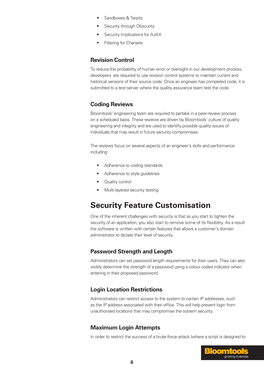- Sandboxes & Tarpits
- Security through Obscurity
- Security Implications for AJAX
- **Filtering for Charsets**

#### **Revision Control**

To reduce the probability of human error or oversight in our development process, developers are required to use revision control systems to maintain current and historical versions of their source code. Once an engineer has completed code, it is submitted to a test server where the quality assurance team test the code.

#### **Coding Reviews**

Bloomtools' engineering team are required to partake in a peer-review process on a scheduled basis. These reviews are driven by Bloomtools' culture of quality engineering and integrity and are used to identify possible quality issues of individuals that may result in future security compromises.

The reviews focus on several aspects of an engineer's skills and performance including:

- Adherence to coding standards
- Adherence to style guidelines
- **Quality control**
- Multi-layered security testing

### **Security Feature Customisation**

One of the inherent challenges with security is that as you start to tighten the security of an application, you also start to remove some of its flexibility. As a result the software is written with certain features that allows a customer's domain administrator to dictate their level of security.

#### **Password Strength and Length**

Administrators can set password length requirements for their users. They can also visibly determine the strength of a password using a colour coded indicator when entering in their proposed password.

#### **Login Location Restrictions**

Administrators can restrict access to the system to certain IP addresses, such as the IP address associated with their office. This will help prevent login from unauthorised locations that may compromise the system security.

#### **Maximum Login Attempts**

In order to restrict the success of a brute-force-attack (where a script is designed to